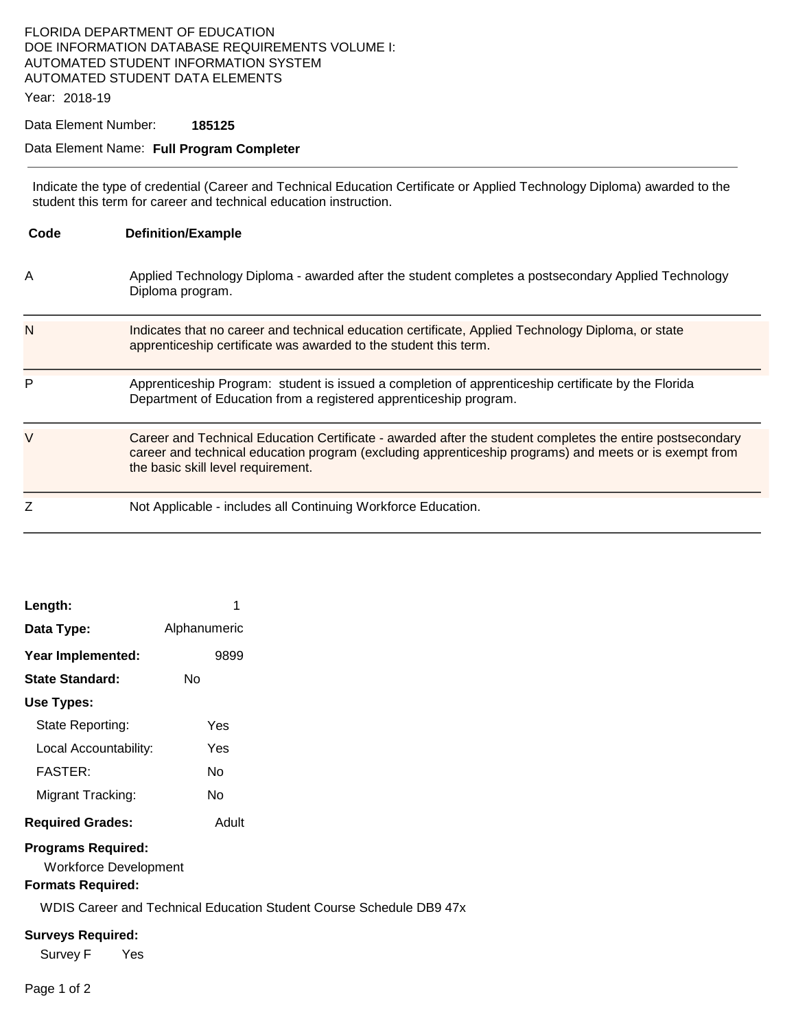# FLORIDA DEPARTMENT OF EDUCATION DOE INFORMATION DATABASE REQUIREMENTS VOLUME I: AUTOMATED STUDENT INFORMATION SYSTEM AUTOMATED STUDENT DATA ELEMENTS

Year: 2018-19

## Data Element Number: **185125**

#### Data Element Name: **Full Program Completer**

Indicate the type of credential (Career and Technical Education Certificate or Applied Technology Diploma) awarded to the student this term for career and technical education instruction.

| Code | <b>Definition/Example</b>                                                                                                                                                                                                                                 |
|------|-----------------------------------------------------------------------------------------------------------------------------------------------------------------------------------------------------------------------------------------------------------|
| A    | Applied Technology Diploma - awarded after the student completes a postsecondary Applied Technology<br>Diploma program.                                                                                                                                   |
| N    | Indicates that no career and technical education certificate, Applied Technology Diploma, or state<br>apprenticeship certificate was awarded to the student this term.                                                                                    |
| P    | Apprenticeship Program: student is issued a completion of apprenticeship certificate by the Florida<br>Department of Education from a registered apprenticeship program.                                                                                  |
| V    | Career and Technical Education Certificate - awarded after the student completes the entire postsecondary<br>career and technical education program (excluding apprenticeship programs) and meets or is exempt from<br>the basic skill level requirement. |
|      | Not Applicable - includes all Continuing Workforce Education.                                                                                                                                                                                             |

| Length:                 | 1            |  |  |
|-------------------------|--------------|--|--|
| Data Type:              | Alphanumeric |  |  |
| Year Implemented:       | 9899         |  |  |
| State Standard:         | N٥           |  |  |
| Use Types:              |              |  |  |
| State Reporting:        | Yes          |  |  |
| Local Accountability:   | Yes          |  |  |
| FASTER:                 | N٥           |  |  |
| Migrant Tracking:       | N٥           |  |  |
| <b>Required Grades:</b> | Adult        |  |  |
|                         |              |  |  |

#### **Programs Required:**

Workforce Development

## **Formats Required:**

WDIS Career and Technical Education Student Course Schedule DB9 47x

#### **Surveys Required:**

Survey F Yes